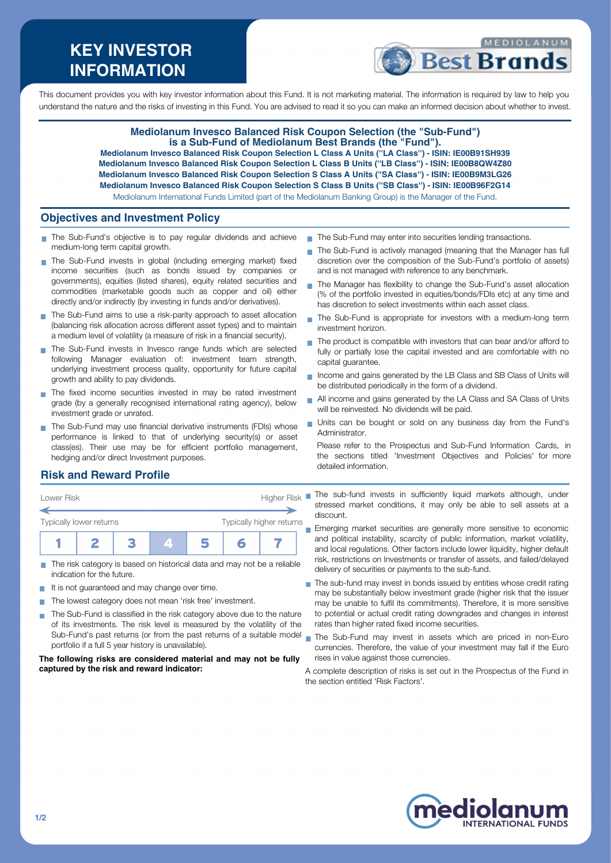# **KEY INVESTOR INFORMATION**



This document provides you with key investor information about this Fund. It is not marketing material. The information is required by law to help you understand the nature and the risks of investing in this Fund. You are advised to read it so you can make an informed decision about whether to invest.

#### **Mediolanum Invesco Balanced Risk Coupon Selection (the "Sub-Fund") is a Sub-Fund of Mediolanum Best Brands (the "Fund").**

**Mediolanum Invesco Balanced Risk Coupon Selection L Class A Units (''LA Class'') - ISIN: IE00B91SH939 Mediolanum Invesco Balanced Risk Coupon Selection L Class B Units (''LB Class'') - ISIN: IE00B8QW4Z80 Mediolanum Invesco Balanced Risk Coupon Selection S Class A Units (''SA Class'') - ISIN: IE00B9M3LG26 Mediolanum Invesco Balanced Risk Coupon Selection S Class B Units (''SB Class'') - ISIN: IE00B96F2G14** Mediolanum International Funds Limited (part of the Mediolanum Banking Group) is the Manager of the Fund.

 $\blacksquare$ 

## **Objectives and Investment Policy**

- The Sub-Fund's objective is to pay regular dividends and achieve medium-long term capital growth.
- The Sub-Fund invests in global (including emerging market) fixed income securities (such as bonds issued by companies or governments), equities (listed shares), equity related securities and commodities (marketable goods such as copper and oil) either directly and/or indirectly (by investing in funds and/or derivatives).
- The Sub-Fund aims to use a risk-parity approach to asset allocation (balancing risk allocation across different asset types) and to maintain a medium level of volatility (a measure of risk in a financial security).
- The Sub-Fund invests in Invesco range funds which are selected following Manager evaluation of: investment team strength, underlying investment process quality, opportunity for future capital growth and ability to pay dividends.
- The fixed income securities invested in may be rated investment grade (by a generally recognised international rating agency), below investment grade or unrated.
- The Sub-Fund may use financial derivative instruments (FDIs) whose performance is linked to that of underlying security(s) or asset class(es). Their use may be for efficient portfolio management, hedging and/or direct Investment purposes.
- The Sub-Fund may enter into securities lending transactions.
- The Sub-Fund is actively managed (meaning that the Manager has full discretion over the composition of the Sub-Fund's portfolio of assets) and is not managed with reference to any benchmark.
- The Manager has flexibility to change the Sub-Fund's asset allocation (% of the portfolio invested in equities/bonds/FDIs etc) at any time and has discretion to select investments within each asset class.
- The Sub-Fund is appropriate for investors with a medium-long term investment horizon.
- The product is compatible with investors that can bear and/or afford to  $\overline{\phantom{a}}$ fully or partially lose the capital invested and are comfortable with no capital guarantee.
- Income and gains generated by the LB Class and SB Class of Units will be distributed periodically in the form of a dividend.
- All income and gains generated by the LA Class and SA Class of Units will be reinvested. No dividends will be paid.
- Units can be bought or sold on any business day from the Fund's Administrator.

Please refer to the Prospectus and Sub-Fund Information Cards, in the sections titled 'Investment Objectives and Policies' for more detailed information.

## **Risk and Reward Profile**



- The risk category is based on historical data and may not be a reliable П indication for the future.
- It is not guaranteed and may change over time.
- The lowest category does not mean 'risk free' investment.
- The Sub-Fund is classified in the risk category above due to the nature of its investments. The risk level is measured by the volatility of the Sub-Fund's past returns (or from the past returns of a suitable model portfolio if a full 5 year history is unavailable).

#### **The following risks are considered material and may not be fully captured by the risk and reward indicator:**

stressed market conditions, it may only be able to sell assets at a discount.

Emerging market securities are generally more sensitive to economic and political instability, scarcity of public information, market volatility, and local regulations. Other factors include lower liquidity, higher default risk, restrictions on Investments or transfer of assets, and failed/delayed delivery of securities or payments to the sub-fund.

- The sub-fund may invest in bonds issued by entities whose credit rating may be substantially below investment grade (higher risk that the issuer may be unable to fulfil its commitments). Therefore, it is more sensitive to potential or actual credit rating downgrades and changes in interest rates than higher rated fixed income securities.
- The Sub-Fund may invest in assets which are priced in non-Euro currencies. Therefore, the value of your investment may fall if the Euro rises in value against those currencies.

A complete description of risks is set out in the Prospectus of the Fund in the section entitled 'Risk Factors'.